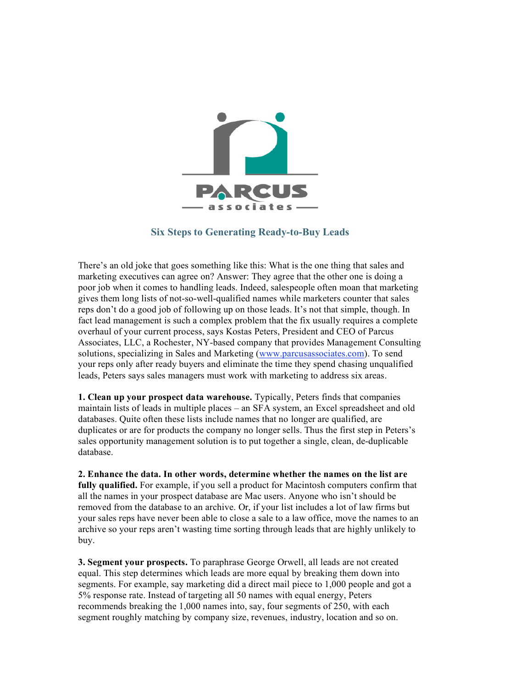

## **Six Steps to Generating Ready-to-Buy Leads**

There's an old joke that goes something like this: What is the one thing that sales and marketing executives can agree on? Answer: They agree that the other one is doing a poor job when it comes to handling leads. Indeed, salespeople often moan that marketing gives them long lists of not-so-well-qualified names while marketers counter that sales reps don't do a good job of following up on those leads. It's not that simple, though. In fact lead management is such a complex problem that the fix usually requires a complete overhaul of your current process, says Kostas Peters, President and CEO of Parcus Associates, LLC, a Rochester, NY-based company that provides Management Consulting solutions, specializing in Sales and Marketing (www.parcusassociates.com). To send your reps only after ready buyers and eliminate the time they spend chasing unqualified leads, Peters says sales managers must work with marketing to address six areas.

**1. Clean up your prospect data warehouse.** Typically, Peters finds that companies maintain lists of leads in multiple places – an SFA system, an Excel spreadsheet and old databases. Quite often these lists include names that no longer are qualified, are duplicates or are for products the company no longer sells. Thus the first step in Peters's sales opportunity management solution is to put together a single, clean, de-duplicable database.

**2. Enhance the data. In other words, determine whether the names on the list are fully qualified.** For example, if you sell a product for Macintosh computers confirm that all the names in your prospect database are Mac users. Anyone who isn't should be removed from the database to an archive. Or, if your list includes a lot of law firms but your sales reps have never been able to close a sale to a law office, move the names to an archive so your reps aren't wasting time sorting through leads that are highly unlikely to buy.

**3. Segment your prospects.** To paraphrase George Orwell, all leads are not created equal. This step determines which leads are more equal by breaking them down into segments. For example, say marketing did a direct mail piece to 1,000 people and got a 5% response rate. Instead of targeting all 50 names with equal energy, Peters recommends breaking the 1,000 names into, say, four segments of 250, with each segment roughly matching by company size, revenues, industry, location and so on.